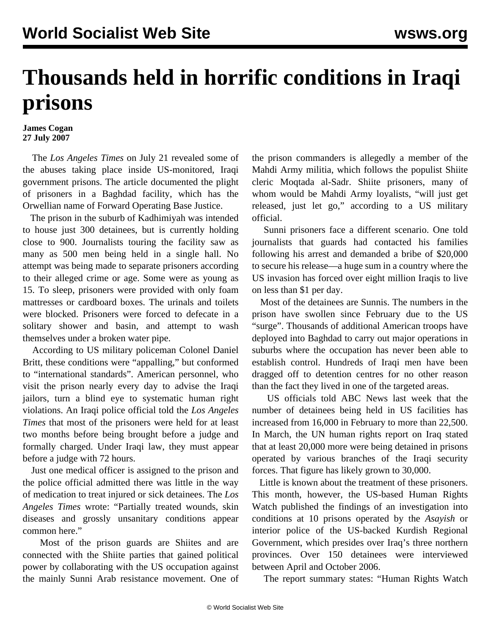## **Thousands held in horrific conditions in Iraqi prisons**

## **James Cogan 27 July 2007**

 The *Los Angeles Times* on July 21 revealed some of the abuses taking place inside US-monitored, Iraqi government prisons. The article documented the plight of prisoners in a Baghdad facility, which has the Orwellian name of Forward Operating Base Justice.

 The prison in the suburb of Kadhimiyah was intended to house just 300 detainees, but is currently holding close to 900. Journalists touring the facility saw as many as 500 men being held in a single hall. No attempt was being made to separate prisoners according to their alleged crime or age. Some were as young as 15. To sleep, prisoners were provided with only foam mattresses or cardboard boxes. The urinals and toilets were blocked. Prisoners were forced to defecate in a solitary shower and basin, and attempt to wash themselves under a broken water pipe.

 According to US military policeman Colonel Daniel Britt, these conditions were "appalling," but conformed to "international standards". American personnel, who visit the prison nearly every day to advise the Iraqi jailors, turn a blind eye to systematic human right violations. An Iraqi police official told the *Los Angeles Times* that most of the prisoners were held for at least two months before being brought before a judge and formally charged. Under Iraqi law, they must appear before a judge with 72 hours.

 Just one medical officer is assigned to the prison and the police official admitted there was little in the way of medication to treat injured or sick detainees. The *Los Angeles Times* wrote: "Partially treated wounds, skin diseases and grossly unsanitary conditions appear common here."

 Most of the prison guards are Shiites and are connected with the Shiite parties that gained political power by collaborating with the US occupation against the mainly Sunni Arab resistance movement. One of the prison commanders is allegedly a member of the Mahdi Army militia, which follows the populist Shiite cleric Moqtada al-Sadr. Shiite prisoners, many of whom would be Mahdi Army loyalists, "will just get released, just let go," according to a US military official.

 Sunni prisoners face a different scenario. One told journalists that guards had contacted his families following his arrest and demanded a bribe of \$20,000 to secure his release—a huge sum in a country where the US invasion has forced over eight million Iraqis to live on less than \$1 per day.

 Most of the detainees are Sunnis. The numbers in the prison have swollen since February due to the US "surge". Thousands of additional American troops have deployed into Baghdad to carry out major operations in suburbs where the occupation has never been able to establish control. Hundreds of Iraqi men have been dragged off to detention centres for no other reason than the fact they lived in one of the targeted areas.

 US officials told ABC News last week that the number of detainees being held in US facilities has increased from 16,000 in February to more than 22,500. In March, the UN human rights report on Iraq stated that at least 20,000 more were being detained in prisons operated by various branches of the Iraqi security forces. That figure has likely grown to 30,000.

 Little is known about the treatment of these prisoners. This month, however, the US-based Human Rights Watch published the findings of an investigation into conditions at 10 prisons operated by the *Asayish* or interior police of the US-backed Kurdish Regional Government, which presides over Iraq's three northern provinces. Over 150 detainees were interviewed between April and October 2006.

The report summary states: "Human Rights Watch